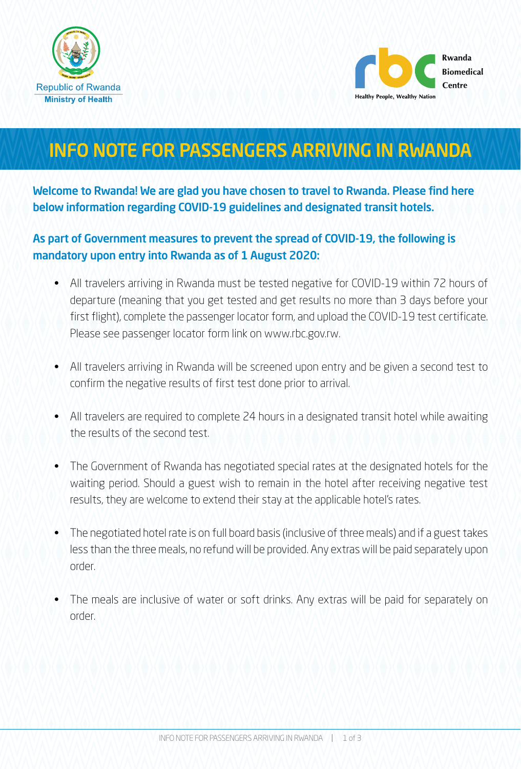



# INFO NOTE FOR PASSENGERS ARRIVING IN RWANDA

Welcome to Rwanda! We are glad you have chosen to travel to Rwanda. Please find here below information regarding COVID-19 guidelines and designated transit hotels.

# As part of Government measures to prevent the spread of COVID-19, the following is mandatory upon entry into Rwanda as of 1 August 2020:

- All travelers arriving in Rwanda must be tested negative for COVID-19 within 72 hours of departure (meaning that you get tested and get results no more than 3 days before your first flight), complete the passenger locator form, and upload the COVID-19 test certificate. Please see passenger locator form link on www.rbc.gov.rw.
- All travelers arriving in Rwanda will be screened upon entry and be given a second test to confirm the negative results of first test done prior to arrival.
- All travelers are required to complete 24 hours in a designated transit hotel while awaiting the results of the second test.
- The Government of Rwanda has negotiated special rates at the designated hotels for the waiting period. Should a guest wish to remain in the hotel after receiving negative test results, they are welcome to extend their stay at the applicable hotel's rates.
- The negotiated hotel rate is on full board basis (inclusive of three meals) and if a guest takes less than the three meals, no refund will be provided. Any extras will be paid separately upon order.
- The meals are inclusive of water or soft drinks. Any extras will be paid for separately on order.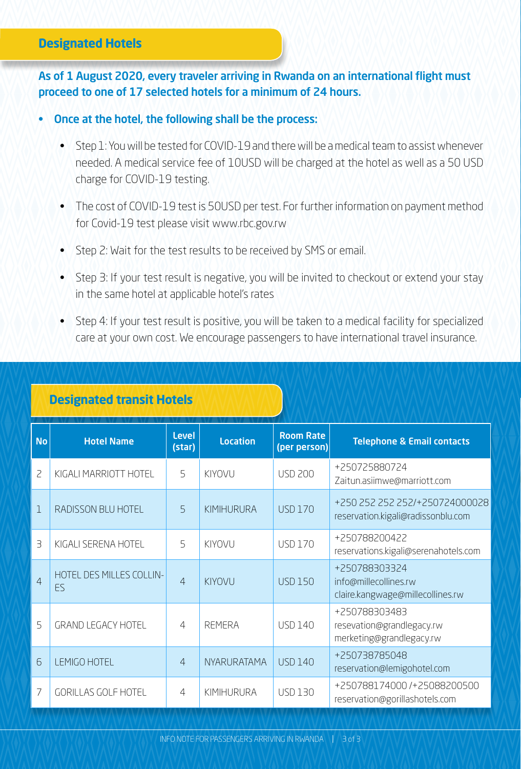# **Designated Hotels**

#### As of 1 August 2020, every traveler arriving in Rwanda on an international flight must proceed to one of 17 selected hotels for a minimum of 24 hours.

#### • Once at the hotel, the following shall be the process:

- Step 1: You will be tested for COVID-19 and there will be a medical team to assist whenever needed. A medical service fee of 10USD will be charged at the hotel as well as a 50 USD charge for COVID-19 testing.
- The cost of COVID-19 test is 50USD per test. For further information on payment method for Covid-19 test please visit www.rbc.gov.rw
- Step 2: Wait for the test results to be received by SMS or email.
- Step 3: If your test result is negative, you will be invited to checkout or extend your stay in the same hotel at applicable hotel's rates
- Step 4: If your test result is positive, you will be taken to a medical facility for specialized care at your own cost. We encourage passengers to have international travel insurance.

# **Designated transit Hotels**

| <b>No</b>      | <b>Hotel Name</b>              | <b>Level</b><br>(star) | <b>Location</b>    | <b>Room Rate</b><br>(per person) | <b>Telephone &amp; Email contacts</b>                                      |
|----------------|--------------------------------|------------------------|--------------------|----------------------------------|----------------------------------------------------------------------------|
| $\overline{c}$ | KIGALI MARRIOTT HOTEL          | $\overline{5}$         | KIYOVU             | <b>USD 200</b>                   | +250725880724<br>Zaitun.asiimwe@marriott.com                               |
| 1              | RADISSON BLU HOTEL             | $5\overline{)}$        | KIMIHURURA         | <b>USD 170</b>                   | +250 252 252 252/+250724000028<br>reservation.kigali@radissonblu.com       |
| $\exists$      | KIGALI SERENA HOTEL            | 5                      | KIYOVU             | <b>USD 170</b>                   | +250788200422<br>reservations.kigali@serenahotels.com                      |
| 4              | HOTEL DES MILLES COLLIN-<br>ES | $\overline{4}$         | KIYOVU             | <b>USD 150</b>                   | +250788303324<br>info@millecollines.rw<br>claire.kangwage@millecollines.rw |
| 5              | <b>GRAND LEGACY HOTEL</b>      | $\overline{4}$         | <b>REMERA</b>      | <b>USD 140</b>                   | +250788303483<br>resevation@grandlegacy.rw<br>merketing@grandlegacy.rw     |
| 6              | LEMIGO HOTEL                   | $\overline{4}$         | <b>NYARURATAMA</b> | <b>USD 140</b>                   | +250738785048<br>reservation@lemigohotel.com                               |
| 7              | <b>GORILLAS GOLF HOTEL</b>     | $\overline{4}$         | KIMIHURURA         | <b>USD 130</b>                   | +250788174000/+25088200500<br>reservation@gorillashotels.com               |